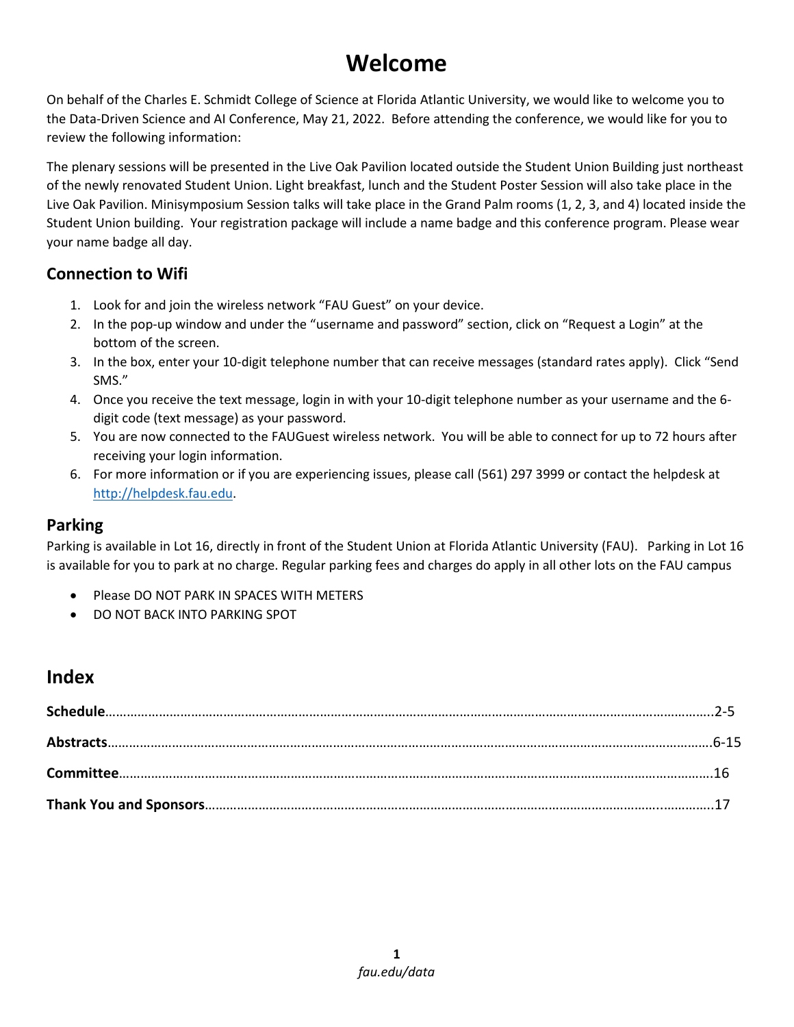# **Welcome**

On behalf of the Charles E. Schmidt College of Science at Florida Atlantic University, we would like to welcome you to the Data-Driven Science and AI Conference, May 21, 2022. Before attending the conference, we would like for you to review the following information:

The plenary sessions will be presented in the Live Oak Pavilion located outside the Student Union Building just northeast of the newly renovated Student Union. Light breakfast, lunch and the Student Poster Session will also take place in the Live Oak Pavilion. Minisymposium Session talks will take place in the Grand Palm rooms (1, 2, 3, and 4) located inside the Student Union building. Your registration package will include a name badge and this conference program. Please wear your name badge all day.

#### **Connection to Wifi**

- 1. Look for and join the wireless network "FAU Guest" on your device.
- 2. In the pop-up window and under the "username and password" section, click on "Request a Login" at the bottom of the screen.
- 3. In the box, enter your 10-digit telephone number that can receive messages (standard rates apply). Click "Send SMS."
- 4. Once you receive the text message, login in with your 10-digit telephone number as your username and the 6 digit code (text message) as your password.
- 5. You are now connected to the FAUGuest wireless network. You will be able to connect for up to 72 hours after receiving your login information.
- 6. For more information or if you are experiencing issues, please call (561) 297 3999 or contact the helpdesk at [http://helpdesk.fau.edu.](http://helpdesk.fau.edu/)

## **Parking**

Parking is available in Lot 16, directly in front of the Student Union at Florida Atlantic University (FAU). Parking in Lot 16 is available for you to park at no charge. Regular parking fees and charges do apply in all other lots on the FAU campus

- Please DO NOT PARK IN SPACES WITH METERS
- DO NOT BACK INTO PARKING SPOT

# **Index**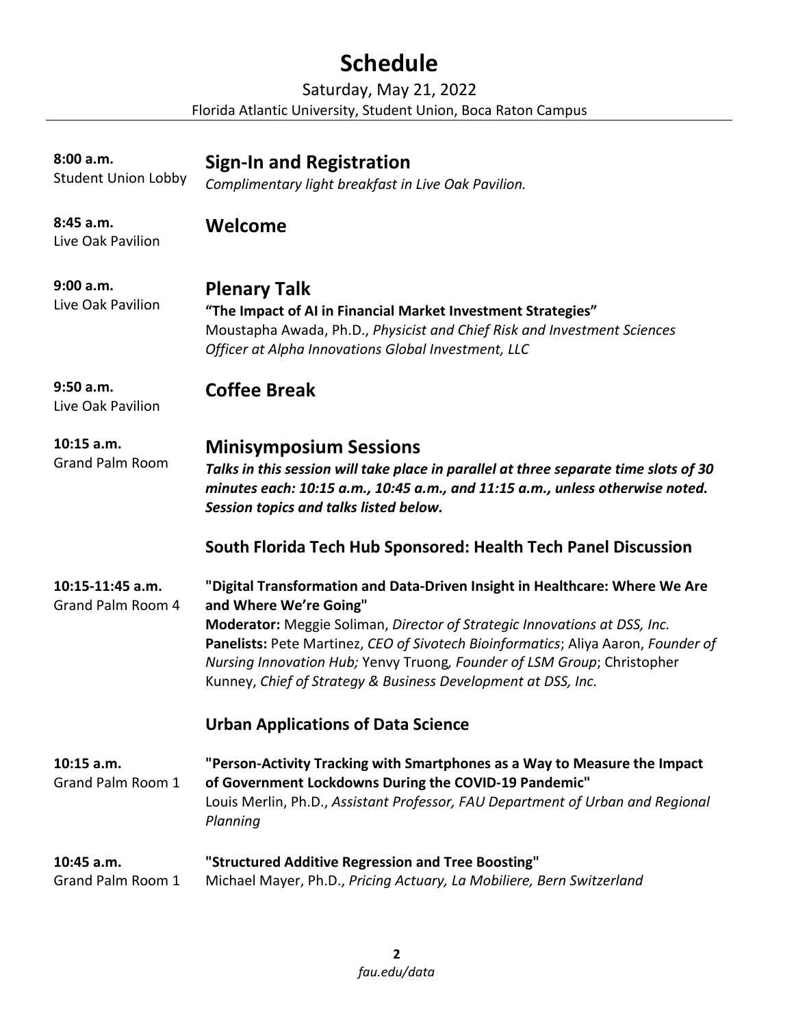# **Schedule**

Saturday, May 21, 2022 Florida Atlantic University, Student Union, Boca Raton Campus

| 8:00 a.m.<br><b>Student Union Lobby</b> | <b>Sign-In and Registration</b><br>Complimentary light breakfast in Live Oak Pavilion.                                                                                                                                                                                                                                                                                                                              |
|-----------------------------------------|---------------------------------------------------------------------------------------------------------------------------------------------------------------------------------------------------------------------------------------------------------------------------------------------------------------------------------------------------------------------------------------------------------------------|
| 8:45 a.m.<br>Live Oak Pavilion          | Welcome                                                                                                                                                                                                                                                                                                                                                                                                             |
| 9:00 a.m.<br>Live Oak Pavilion          | <b>Plenary Talk</b><br>"The Impact of AI in Financial Market Investment Strategies"<br>Moustapha Awada, Ph.D., Physicist and Chief Risk and Investment Sciences<br>Officer at Alpha Innovations Global Investment, LLC                                                                                                                                                                                              |
| 9:50 a.m.<br>Live Oak Pavilion          | <b>Coffee Break</b>                                                                                                                                                                                                                                                                                                                                                                                                 |
| $10:15$ a.m.<br><b>Grand Palm Room</b>  | <b>Minisymposium Sessions</b><br>Talks in this session will take place in parallel at three separate time slots of 30<br>minutes each: 10:15 a.m., 10:45 a.m., and 11:15 a.m., unless otherwise noted.<br>Session topics and talks listed below.                                                                                                                                                                    |
|                                         | South Florida Tech Hub Sponsored: Health Tech Panel Discussion                                                                                                                                                                                                                                                                                                                                                      |
| 10:15-11:45 a.m.<br>Grand Palm Room 4   | "Digital Transformation and Data-Driven Insight in Healthcare: Where We Are<br>and Where We're Going"<br>Moderator: Meggie Soliman, Director of Strategic Innovations at DSS, Inc.<br>Panelists: Pete Martinez, CEO of Sivotech Bioinformatics; Aliya Aaron, Founder of<br>Nursing Innovation Hub; Yenvy Truong, Founder of LSM Group; Christopher<br>Kunney, Chief of Strategy & Business Development at DSS, Inc. |
|                                         | <b>Urban Applications of Data Science</b>                                                                                                                                                                                                                                                                                                                                                                           |
| 10:15 a.m.<br>Grand Palm Room 1         | "Person-Activity Tracking with Smartphones as a Way to Measure the Impact<br>of Government Lockdowns During the COVID-19 Pandemic"<br>Louis Merlin, Ph.D., Assistant Professor, FAU Department of Urban and Regional<br>Planning                                                                                                                                                                                    |
| 10:45 a.m.<br>Grand Palm Room 1         | "Structured Additive Regression and Tree Boosting"<br>Michael Mayer, Ph.D., Pricing Actuary, La Mobiliere, Bern Switzerland                                                                                                                                                                                                                                                                                         |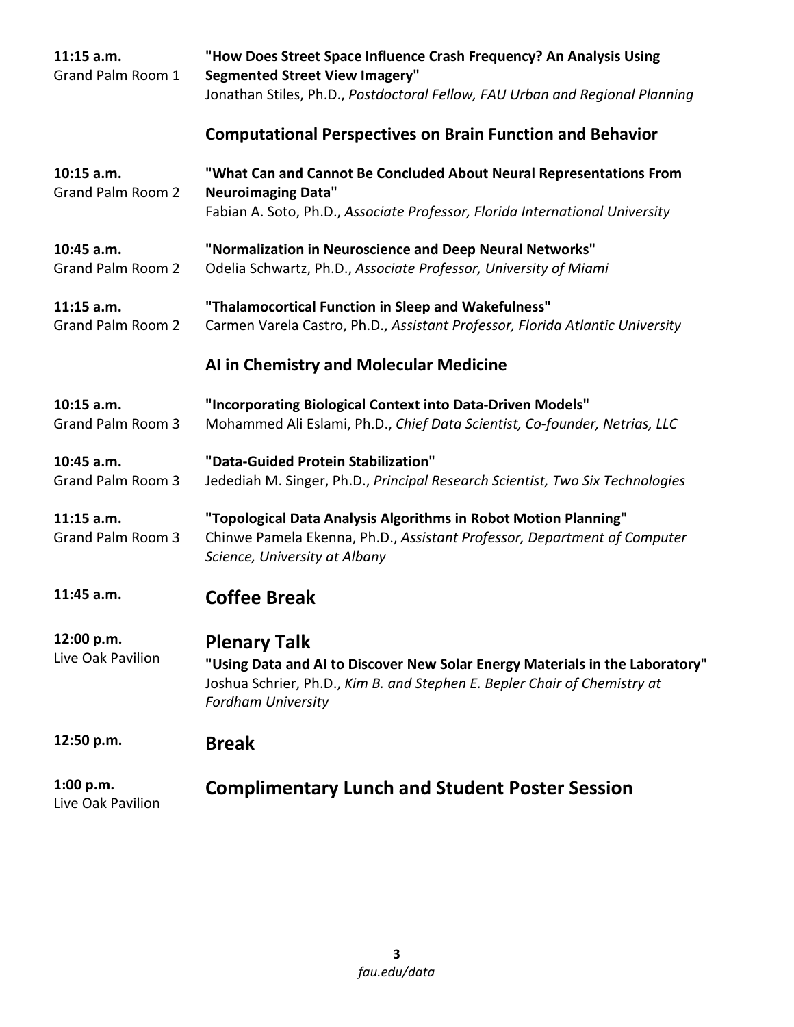| $11:15$ a.m.<br>Grand Palm Room 1 | "How Does Street Space Influence Crash Frequency? An Analysis Using<br><b>Segmented Street View Imagery"</b>                                                                           |
|-----------------------------------|----------------------------------------------------------------------------------------------------------------------------------------------------------------------------------------|
|                                   | Jonathan Stiles, Ph.D., Postdoctoral Fellow, FAU Urban and Regional Planning                                                                                                           |
|                                   | <b>Computational Perspectives on Brain Function and Behavior</b>                                                                                                                       |
| 10:15 a.m.<br>Grand Palm Room 2   | "What Can and Cannot Be Concluded About Neural Representations From<br><b>Neuroimaging Data"</b>                                                                                       |
|                                   | Fabian A. Soto, Ph.D., Associate Professor, Florida International University                                                                                                           |
| 10:45 a.m.                        | "Normalization in Neuroscience and Deep Neural Networks"                                                                                                                               |
| Grand Palm Room 2                 | Odelia Schwartz, Ph.D., Associate Professor, University of Miami                                                                                                                       |
| $11:15$ a.m.                      | "Thalamocortical Function in Sleep and Wakefulness"                                                                                                                                    |
| Grand Palm Room 2                 | Carmen Varela Castro, Ph.D., Assistant Professor, Florida Atlantic University                                                                                                          |
|                                   | AI in Chemistry and Molecular Medicine                                                                                                                                                 |
| $10:15$ a.m.                      | "Incorporating Biological Context into Data-Driven Models"                                                                                                                             |
| Grand Palm Room 3                 | Mohammed Ali Eslami, Ph.D., Chief Data Scientist, Co-founder, Netrias, LLC                                                                                                             |
| 10:45 a.m.                        | "Data-Guided Protein Stabilization"                                                                                                                                                    |
| Grand Palm Room 3                 | Jedediah M. Singer, Ph.D., Principal Research Scientist, Two Six Technologies                                                                                                          |
| $11:15$ a.m.                      | "Topological Data Analysis Algorithms in Robot Motion Planning"                                                                                                                        |
| Grand Palm Room 3                 | Chinwe Pamela Ekenna, Ph.D., Assistant Professor, Department of Computer<br>Science, University at Albany                                                                              |
| 11:45 a.m.                        | <b>Coffee Break</b>                                                                                                                                                                    |
| 12:00 p.m.                        | <b>Plenary Talk</b>                                                                                                                                                                    |
| Live Oak Pavilion                 | "Using Data and AI to Discover New Solar Energy Materials in the Laboratory"<br>Joshua Schrier, Ph.D., Kim B. and Stephen E. Bepler Chair of Chemistry at<br><b>Fordham University</b> |
| 12:50 p.m.                        | <b>Break</b>                                                                                                                                                                           |
| 1:00 p.m.<br>Live Oak Pavilion    | <b>Complimentary Lunch and Student Poster Session</b>                                                                                                                                  |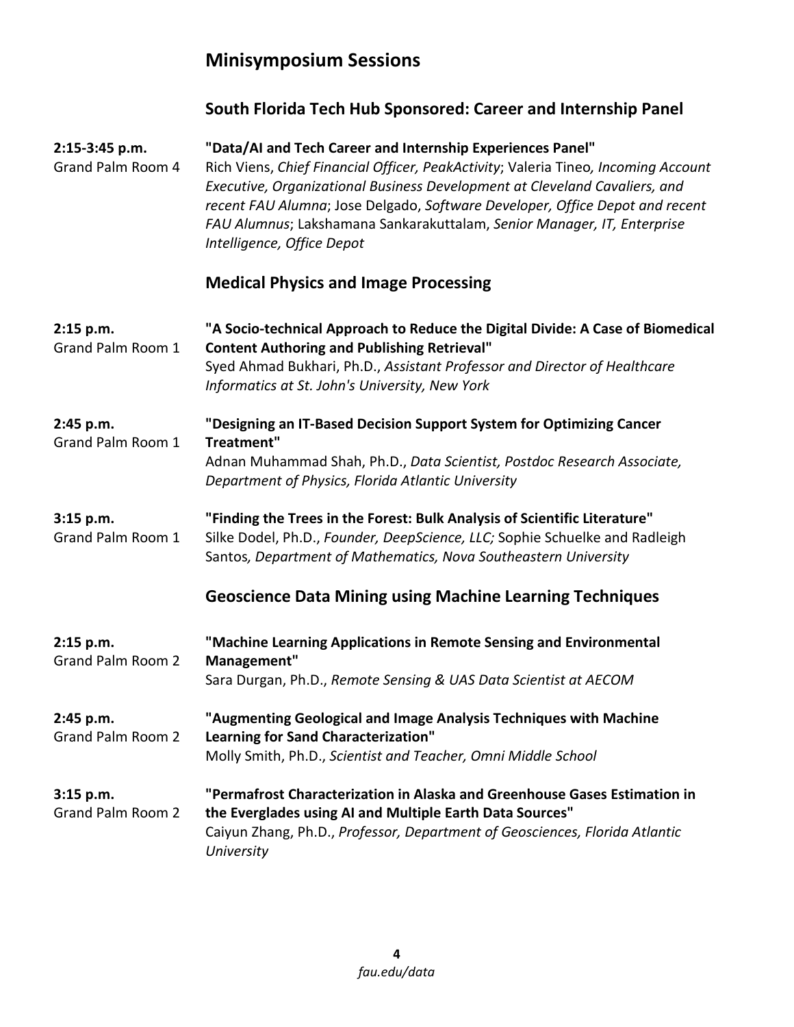# **Minisymposium Sessions**

|                                     | South Florida Tech Hub Sponsored: Career and Internship Panel                                                                                                                                                                                                                                                                                                                                                           |
|-------------------------------------|-------------------------------------------------------------------------------------------------------------------------------------------------------------------------------------------------------------------------------------------------------------------------------------------------------------------------------------------------------------------------------------------------------------------------|
| 2:15-3:45 p.m.<br>Grand Palm Room 4 | "Data/AI and Tech Career and Internship Experiences Panel"<br>Rich Viens, Chief Financial Officer, PeakActivity; Valeria Tineo, Incoming Account<br>Executive, Organizational Business Development at Cleveland Cavaliers, and<br>recent FAU Alumna; Jose Delgado, Software Developer, Office Depot and recent<br>FAU Alumnus; Lakshamana Sankarakuttalam, Senior Manager, IT, Enterprise<br>Intelligence, Office Depot |
|                                     | <b>Medical Physics and Image Processing</b>                                                                                                                                                                                                                                                                                                                                                                             |
| 2:15 p.m.<br>Grand Palm Room 1      | "A Socio-technical Approach to Reduce the Digital Divide: A Case of Biomedical<br><b>Content Authoring and Publishing Retrieval"</b><br>Syed Ahmad Bukhari, Ph.D., Assistant Professor and Director of Healthcare<br>Informatics at St. John's University, New York                                                                                                                                                     |
| 2:45 p.m.<br>Grand Palm Room 1      | "Designing an IT-Based Decision Support System for Optimizing Cancer<br>Treatment"<br>Adnan Muhammad Shah, Ph.D., Data Scientist, Postdoc Research Associate,<br>Department of Physics, Florida Atlantic University                                                                                                                                                                                                     |
| 3:15 p.m.<br>Grand Palm Room 1      | "Finding the Trees in the Forest: Bulk Analysis of Scientific Literature"<br>Silke Dodel, Ph.D., Founder, DeepScience, LLC; Sophie Schuelke and Radleigh<br>Santos, Department of Mathematics, Nova Southeastern University                                                                                                                                                                                             |
|                                     | <b>Geoscience Data Mining using Machine Learning Techniques</b>                                                                                                                                                                                                                                                                                                                                                         |
| 2:15 p.m.<br>Grand Palm Room 2      | "Machine Learning Applications in Remote Sensing and Environmental<br>Management"<br>Sara Durgan, Ph.D., Remote Sensing & UAS Data Scientist at AECOM                                                                                                                                                                                                                                                                   |
| 2:45 p.m.<br>Grand Palm Room 2      | "Augmenting Geological and Image Analysis Techniques with Machine<br>Learning for Sand Characterization"<br>Molly Smith, Ph.D., Scientist and Teacher, Omni Middle School                                                                                                                                                                                                                                               |
| 3:15 p.m.<br>Grand Palm Room 2      | "Permafrost Characterization in Alaska and Greenhouse Gases Estimation in<br>the Everglades using AI and Multiple Earth Data Sources"<br>Caiyun Zhang, Ph.D., Professor, Department of Geosciences, Florida Atlantic<br>University                                                                                                                                                                                      |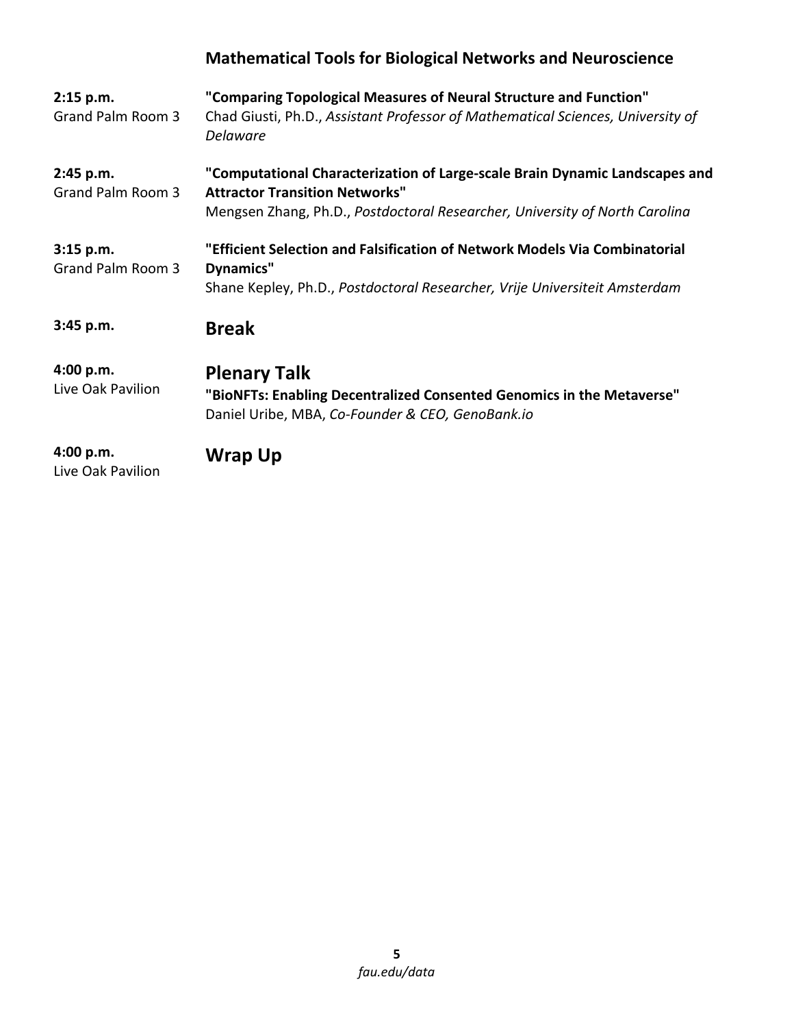# **Mathematical Tools for Biological Networks and Neuroscience**

| 2:15 p.m.<br>Grand Palm Room 3   | "Comparing Topological Measures of Neural Structure and Function"<br>Chad Giusti, Ph.D., Assistant Professor of Mathematical Sciences, University of<br><b>Delaware</b>                             |
|----------------------------------|-----------------------------------------------------------------------------------------------------------------------------------------------------------------------------------------------------|
| 2:45 p.m.<br>Grand Palm Room 3   | "Computational Characterization of Large-scale Brain Dynamic Landscapes and<br><b>Attractor Transition Networks"</b><br>Mengsen Zhang, Ph.D., Postdoctoral Researcher, University of North Carolina |
| $3:15$ p.m.<br>Grand Palm Room 3 | "Efficient Selection and Falsification of Network Models Via Combinatorial<br>Dynamics"<br>Shane Kepley, Ph.D., Postdoctoral Researcher, Vrije Universiteit Amsterdam                               |
| 3:45 p.m.                        | <b>Break</b>                                                                                                                                                                                        |
| 4:00 p.m.<br>Live Oak Pavilion   | <b>Plenary Talk</b><br>"BioNFTs: Enabling Decentralized Consented Genomics in the Metaverse"<br>Daniel Uribe, MBA, Co-Founder & CEO, GenoBank.io                                                    |
| 4:00 p.m.<br>Live Oak Pavilion   | Wrap Up                                                                                                                                                                                             |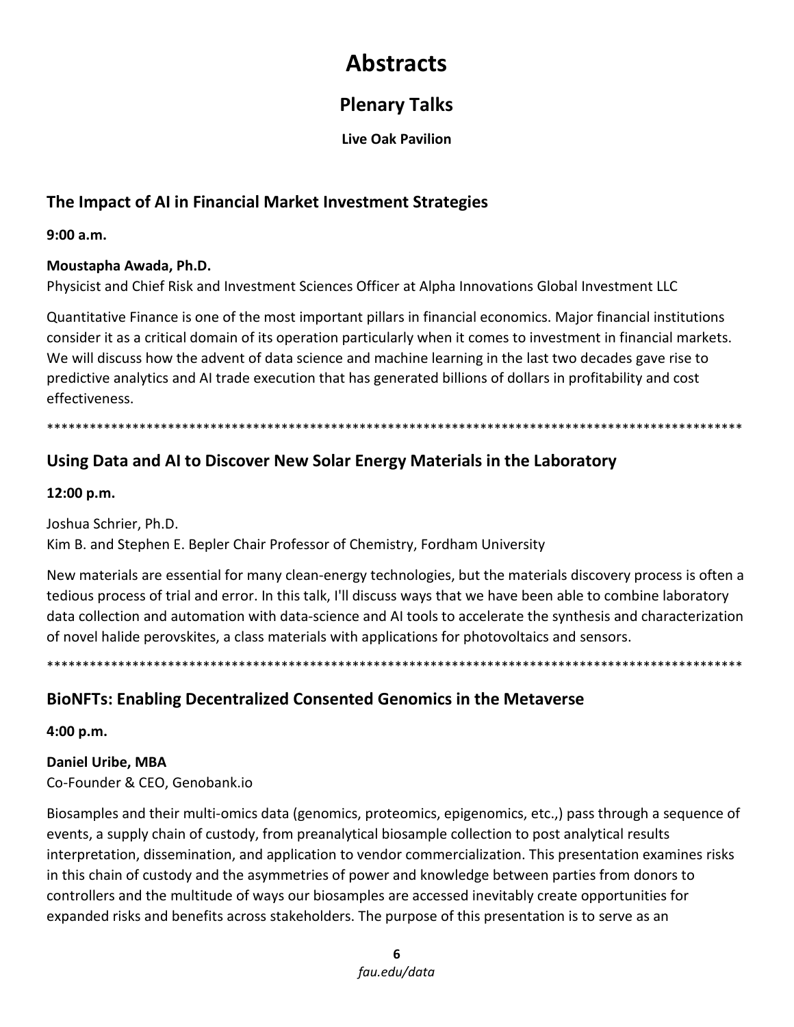# **Abstracts**

# **Plenary Talks**

**Live Oak Pavilion**

## **The Impact of AI in Financial Market Investment Strategies**

**9:00 a.m.** 

#### **Moustapha Awada, Ph.D.**

Physicist and Chief Risk and Investment Sciences Officer at Alpha Innovations Global Investment LLC

Quantitative Finance is one of the most important pillars in financial economics. Major financial institutions consider it as a critical domain of its operation particularly when it comes to investment in financial markets. We will discuss how the advent of data science and machine learning in the last two decades gave rise to predictive analytics and AI trade execution that has generated billions of dollars in profitability and cost effectiveness.

\*\*\*\*\*\*\*\*\*\*\*\*\*\*\*\*\*\*\*\*\*\*\*\*\*\*\*\*\*\*\*\*\*\*\*\*\*\*\*\*\*\*\*\*\*\*\*\*\*\*\*\*\*\*\*\*\*\*\*\*\*\*\*\*\*\*\*\*\*\*\*\*\*\*\*\*\*\*\*\*\*\*\*\*\*\*\*\*\*\*\*\*\*\*\*\*\*\*

## **Using Data and AI to Discover New Solar Energy Materials in the Laboratory**

**12:00 p.m.** 

Joshua Schrier, Ph.D. Kim B. and Stephen E. Bepler Chair Professor of Chemistry, Fordham University

New materials are essential for many clean-energy technologies, but the materials discovery process is often a tedious process of trial and error. In this talk, I'll discuss ways that we have been able to combine laboratory data collection and automation with data-science and AI tools to accelerate the synthesis and characterization of novel halide perovskites, a class materials with applications for photovoltaics and sensors.

\*\*\*\*\*\*\*\*\*\*\*\*\*\*\*\*\*\*\*\*\*\*\*\*\*\*\*\*\*\*\*\*\*\*\*\*\*\*\*\*\*\*\*\*\*\*\*\*\*\*\*\*\*\*\*\*\*\*\*\*\*\*\*\*\*\*\*\*\*\*\*\*\*\*\*\*\*\*\*\*\*\*\*\*\*\*\*\*\*\*\*\*\*\*\*\*\*\*

## **BioNFTs: Enabling Decentralized Consented Genomics in the Metaverse**

**4:00 p.m.**

**Daniel Uribe, MBA** Co-Founder & CEO, Genobank.io

Biosamples and their multi-omics data (genomics, proteomics, epigenomics, etc.,) pass through a sequence of events, a supply chain of custody, from preanalytical biosample collection to post analytical results interpretation, dissemination, and application to vendor commercialization. This presentation examines risks in this chain of custody and the asymmetries of power and knowledge between parties from donors to controllers and the multitude of ways our biosamples are accessed inevitably create opportunities for expanded risks and benefits across stakeholders. The purpose of this presentation is to serve as an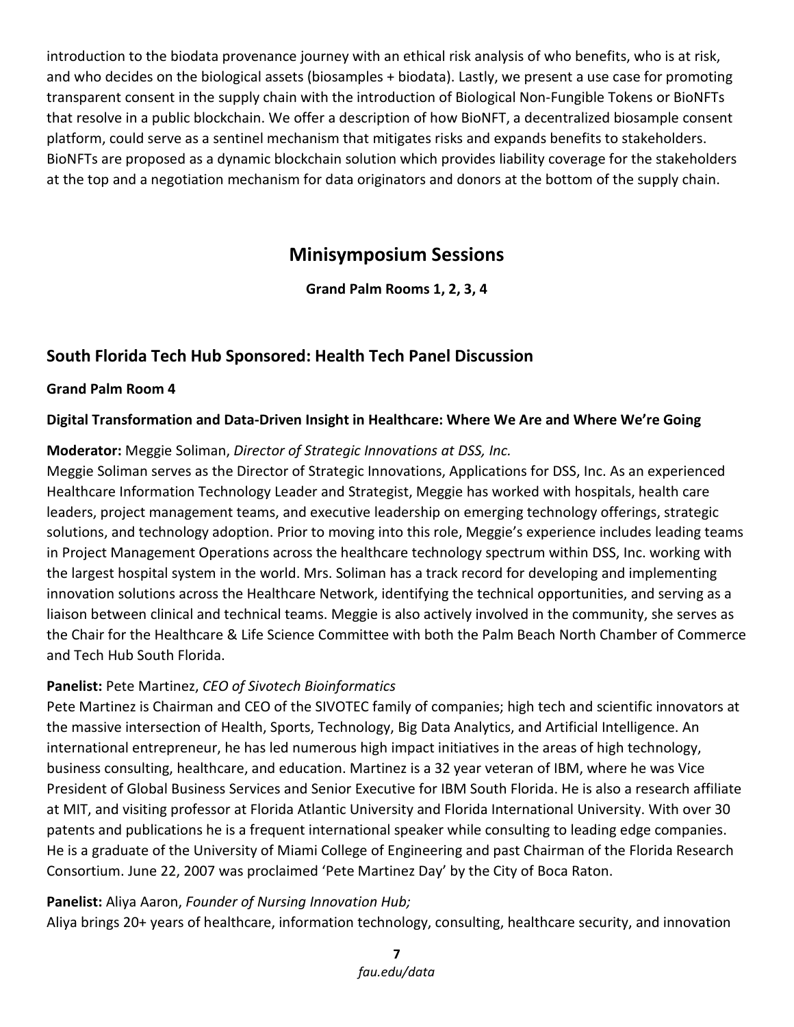introduction to the biodata provenance journey with an ethical risk analysis of who benefits, who is at risk, and who decides on the biological assets (biosamples + biodata). Lastly, we present a use case for promoting transparent consent in the supply chain with the introduction of Biological Non-Fungible Tokens or BioNFTs that resolve in a public blockchain. We offer a description of how BioNFT, a decentralized biosample consent platform, could serve as a sentinel mechanism that mitigates risks and expands benefits to stakeholders. BioNFTs are proposed as a dynamic blockchain solution which provides liability coverage for the stakeholders at the top and a negotiation mechanism for data originators and donors at the bottom of the supply chain.

## **Minisymposium Sessions**

**Grand Palm Rooms 1, 2, 3, 4**

### **South Florida Tech Hub Sponsored: Health Tech Panel Discussion**

#### **Grand Palm Room 4**

#### **Digital Transformation and Data-Driven Insight in Healthcare: Where We Are and Where We're Going**

#### **Moderator:** Meggie Soliman, *Director of Strategic Innovations at DSS, Inc.*

Meggie Soliman serves as the Director of Strategic Innovations, Applications for DSS, Inc. As an experienced Healthcare Information Technology Leader and Strategist, Meggie has worked with hospitals, health care leaders, project management teams, and executive leadership on emerging technology offerings, strategic solutions, and technology adoption. Prior to moving into this role, Meggie's experience includes leading teams in Project Management Operations across the healthcare technology spectrum within DSS, Inc. working with the largest hospital system in the world. Mrs. Soliman has a track record for developing and implementing innovation solutions across the Healthcare Network, identifying the technical opportunities, and serving as a liaison between clinical and technical teams. Meggie is also actively involved in the community, she serves as the Chair for the Healthcare & Life Science Committee with both the Palm Beach North Chamber of Commerce and Tech Hub South Florida.

#### **Panelist:** Pete Martinez, *CEO of Sivotech Bioinformatics*

Pete Martinez is Chairman and CEO of the SIVOTEC family of companies; high tech and scientific innovators at the massive intersection of Health, Sports, Technology, Big Data Analytics, and Artificial Intelligence. An international entrepreneur, he has led numerous high impact initiatives in the areas of high technology, business consulting, healthcare, and education. Martinez is a 32 year veteran of IBM, where he was Vice President of Global Business Services and Senior Executive for IBM South Florida. He is also a research affiliate at MIT, and visiting professor at Florida Atlantic University and Florida International University. With over 30 patents and publications he is a frequent international speaker while consulting to leading edge companies. He is a graduate of the University of Miami College of Engineering and past Chairman of the Florida Research Consortium. June 22, 2007 was proclaimed 'Pete Martinez Day' by the City of Boca Raton.

#### **Panelist:** Aliya Aaron, *Founder of Nursing Innovation Hub;*

Aliya brings 20+ years of healthcare, information technology, consulting, healthcare security, and innovation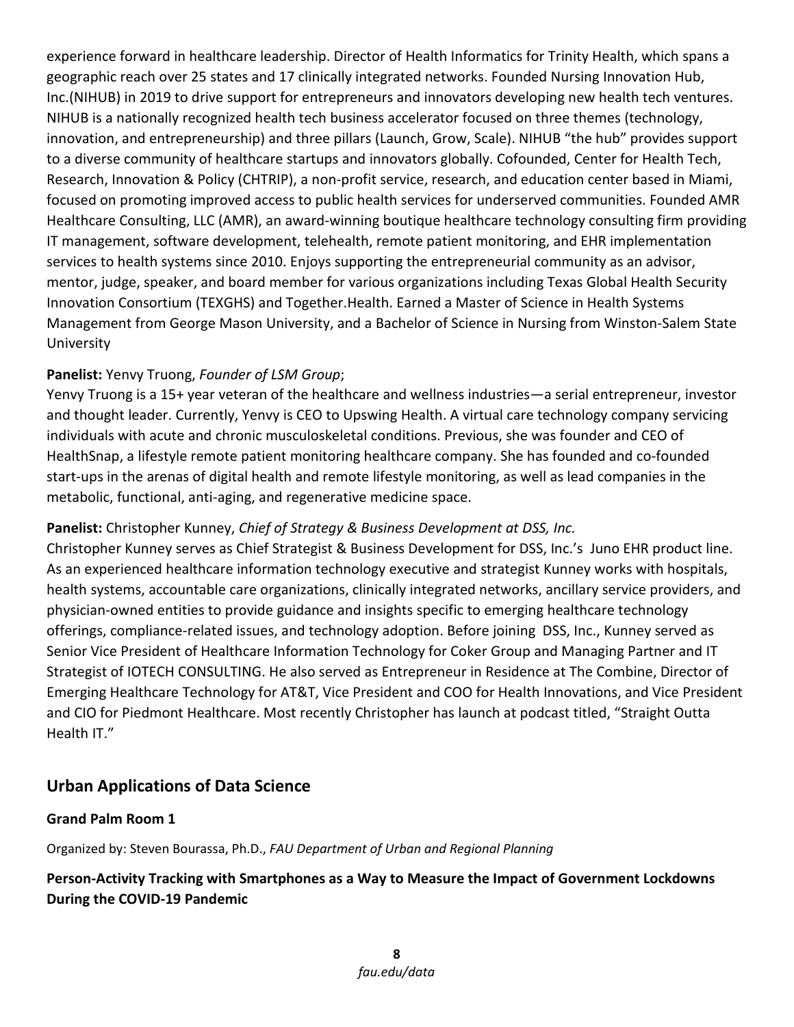experience forward in healthcare leadership. Director of Health Informatics for Trinity Health, which spans a geographic reach over 25 states and 17 clinically integrated networks. Founded Nursing Innovation Hub, Inc.(NIHUB) in 2019 to drive support for entrepreneurs and innovators developing new health tech ventures. NIHUB is a nationally recognized health tech business accelerator focused on three themes (technology, innovation, and entrepreneurship) and three pillars (Launch, Grow, Scale). NIHUB "the hub" provides support to a diverse community of healthcare startups and innovators globally. Cofounded, Center for Health Tech, Research, Innovation & Policy (CHTRIP), a non-profit service, research, and education center based in Miami, focused on promoting improved access to public health services for underserved communities. Founded AMR Healthcare Consulting, LLC (AMR), an award-winning boutique healthcare technology consulting firm providing IT management, software development, telehealth, remote patient monitoring, and EHR implementation services to health systems since 2010. Enjoys supporting the entrepreneurial community as an advisor, mentor, judge, speaker, and board member for various organizations including Texas Global Health Security Innovation Consortium (TEXGHS) and Together.Health. Earned a Master of Science in Health Systems Management from George Mason University, and a Bachelor of Science in Nursing from Winston-Salem State University

#### **Panelist:** Yenvy Truong, *Founder of LSM Group*;

Yenvy Truong is a 15+ year veteran of the healthcare and wellness industries—a serial entrepreneur, investor and thought leader. Currently, Yenvy is CEO to Upswing Health. A virtual care technology company servicing individuals with acute and chronic musculoskeletal conditions. Previous, she was founder and CEO of HealthSnap, a lifestyle remote patient monitoring healthcare company. She has founded and co-founded start-ups in the arenas of digital health and remote lifestyle monitoring, as well as lead companies in the metabolic, functional, anti-aging, and regenerative medicine space.

#### **Panelist:** Christopher Kunney, *Chief of Strategy & Business Development at DSS, Inc.*

Christopher Kunney serves as Chief Strategist & Business Development for DSS, Inc.'s Juno EHR product line. As an experienced healthcare information technology executive and strategist Kunney works with hospitals, health systems, accountable care organizations, clinically integrated networks, ancillary service providers, and physician-owned entities to provide guidance and insights specific to emerging healthcare technology offerings, compliance-related issues, and technology adoption. Before joining DSS, Inc., Kunney served as Senior Vice President of Healthcare Information Technology for Coker Group and Managing Partner and IT Strategist of IOTECH CONSULTING. He also served as Entrepreneur in Residence at The Combine, Director of Emerging Healthcare Technology for AT&T, Vice President and COO for Health Innovations, and Vice President and CIO for Piedmont Healthcare. Most recently Christopher has launch at podcast titled, "Straight Outta Health IT."

## **Urban Applications of Data Science**

#### **Grand Palm Room 1**

Organized by: Steven Bourassa, Ph.D., *FAU Department of Urban and Regional Planning*

#### **Person-Activity Tracking with Smartphones as a Way to Measure the Impact of Government Lockdowns During the COVID-19 Pandemic**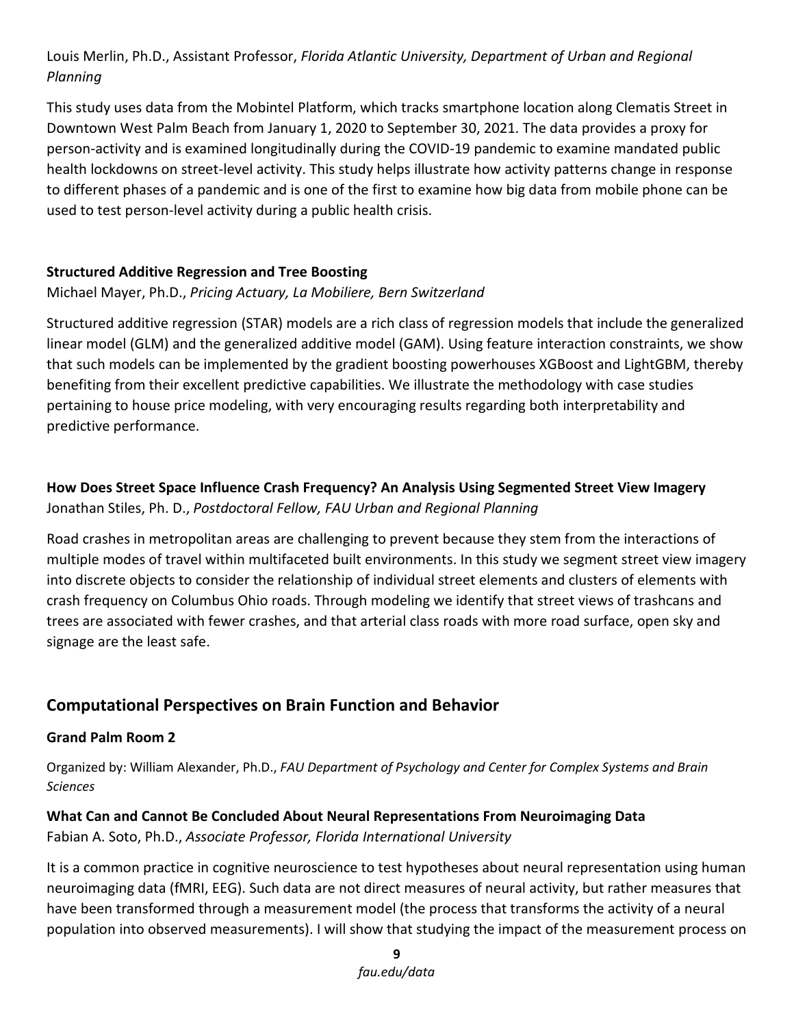#### Louis Merlin, Ph.D., Assistant Professor, *Florida Atlantic University, Department of Urban and Regional Planning*

This study uses data from the Mobintel Platform, which tracks smartphone location along Clematis Street in Downtown West Palm Beach from January 1, 2020 to September 30, 2021. The data provides a proxy for person-activity and is examined longitudinally during the COVID-19 pandemic to examine mandated public health lockdowns on street-level activity. This study helps illustrate how activity patterns change in response to different phases of a pandemic and is one of the first to examine how big data from mobile phone can be used to test person-level activity during a public health crisis.

#### **Structured Additive Regression and Tree Boosting**

#### Michael Mayer, Ph.D., *Pricing Actuary, La Mobiliere, Bern Switzerland*

Structured additive regression (STAR) models are a rich class of regression models that include the generalized linear model (GLM) and the generalized additive model (GAM). Using feature interaction constraints, we show that such models can be implemented by the gradient boosting powerhouses XGBoost and LightGBM, thereby benefiting from their excellent predictive capabilities. We illustrate the methodology with case studies pertaining to house price modeling, with very encouraging results regarding both interpretability and predictive performance.

#### **How Does Street Space Influence Crash Frequency? An Analysis Using Segmented Street View Imagery** Jonathan Stiles, Ph. D., *Postdoctoral Fellow, FAU Urban and Regional Planning*

Road crashes in metropolitan areas are challenging to prevent because they stem from the interactions of multiple modes of travel within multifaceted built environments. In this study we segment street view imagery into discrete objects to consider the relationship of individual street elements and clusters of elements with crash frequency on Columbus Ohio roads. Through modeling we identify that street views of trashcans and trees are associated with fewer crashes, and that arterial class roads with more road surface, open sky and signage are the least safe.

#### **Computational Perspectives on Brain Function and Behavior**

#### **Grand Palm Room 2**

Organized by: William Alexander, Ph.D., *FAU Department of Psychology and Center for Complex Systems and Brain Sciences*

#### **What Can and Cannot Be Concluded About Neural Representations From Neuroimaging Data**

Fabian A. Soto, Ph.D., *Associate Professor, Florida International University*

It is a common practice in cognitive neuroscience to test hypotheses about neural representation using human neuroimaging data (fMRI, EEG). Such data are not direct measures of neural activity, but rather measures that have been transformed through a measurement model (the process that transforms the activity of a neural population into observed measurements). I will show that studying the impact of the measurement process on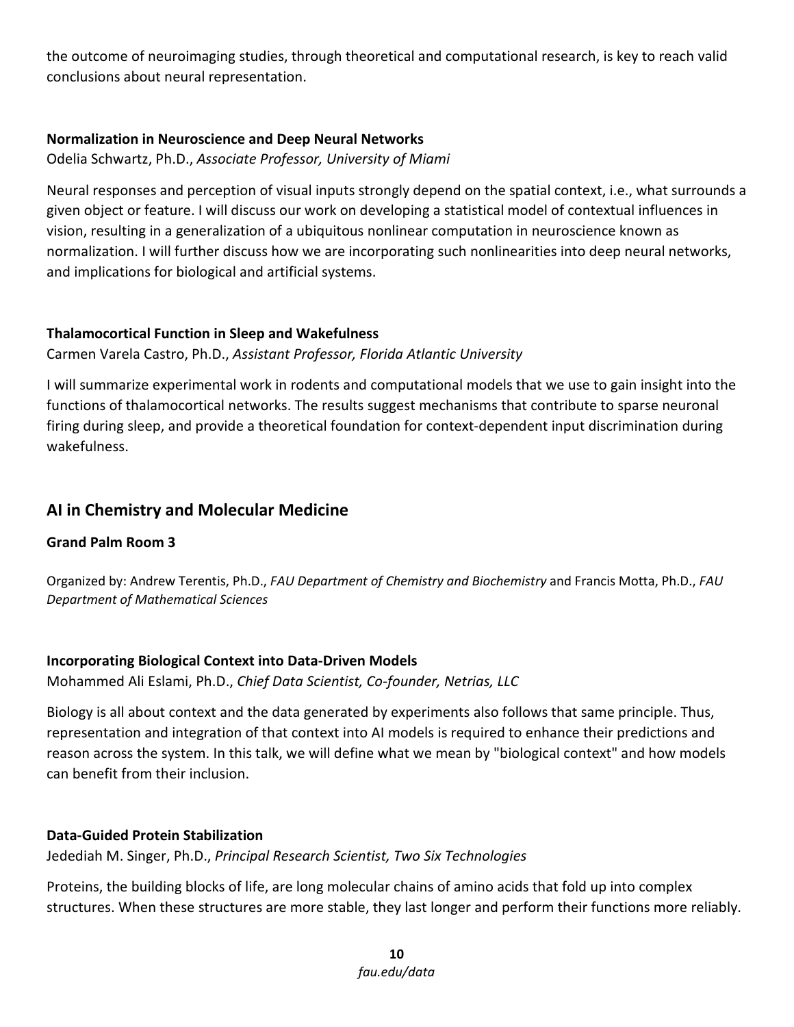the outcome of neuroimaging studies, through theoretical and computational research, is key to reach valid conclusions about neural representation.

#### **Normalization in Neuroscience and Deep Neural Networks**

Odelia Schwartz, Ph.D., *Associate Professor, University of Miami*

Neural responses and perception of visual inputs strongly depend on the spatial context, i.e., what surrounds a given object or feature. I will discuss our work on developing a statistical model of contextual influences in vision, resulting in a generalization of a ubiquitous nonlinear computation in neuroscience known as normalization. I will further discuss how we are incorporating such nonlinearities into deep neural networks, and implications for biological and artificial systems.

#### **Thalamocortical Function in Sleep and Wakefulness**

Carmen Varela Castro, Ph.D., *Assistant Professor, Florida Atlantic University*

I will summarize experimental work in rodents and computational models that we use to gain insight into the functions of thalamocortical networks. The results suggest mechanisms that contribute to sparse neuronal firing during sleep, and provide a theoretical foundation for context-dependent input discrimination during wakefulness.

#### **AI in Chemistry and Molecular Medicine**

#### **Grand Palm Room 3**

Organized by: Andrew Terentis, Ph.D., *FAU Department of Chemistry and Biochemistry* and Francis Motta, Ph.D., *FAU Department of Mathematical Sciences*

#### **Incorporating Biological Context into Data-Driven Models**

Mohammed Ali Eslami, Ph.D., *Chief Data Scientist, Co-founder, Netrias, LLC*

Biology is all about context and the data generated by experiments also follows that same principle. Thus, representation and integration of that context into AI models is required to enhance their predictions and reason across the system. In this talk, we will define what we mean by "biological context" and how models can benefit from their inclusion.

#### **Data-Guided Protein Stabilization**

Jedediah M. Singer, Ph.D., *Principal Research Scientist, Two Six Technologies*

Proteins, the building blocks of life, are long molecular chains of amino acids that fold up into complex structures. When these structures are more stable, they last longer and perform their functions more reliably.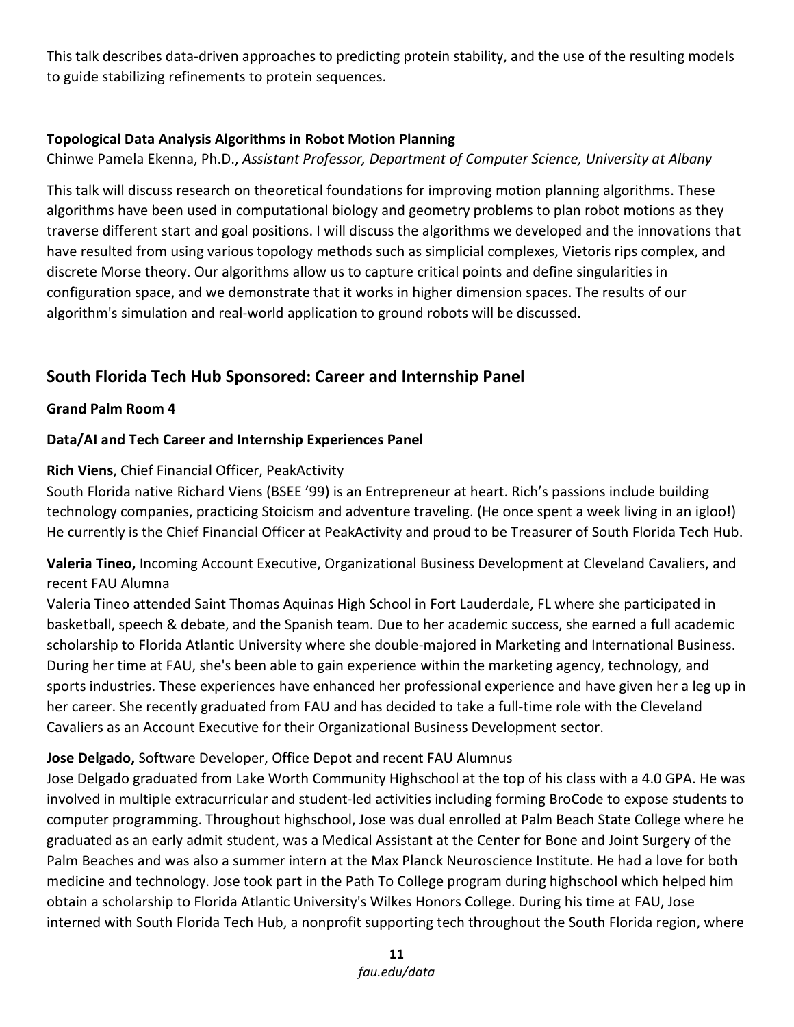This talk describes data-driven approaches to predicting protein stability, and the use of the resulting models to guide stabilizing refinements to protein sequences.

#### **Topological Data Analysis Algorithms in Robot Motion Planning**

Chinwe Pamela Ekenna, Ph.D., *Assistant Professor, Department of Computer Science, University at Albany*

This talk will discuss research on theoretical foundations for improving motion planning algorithms. These algorithms have been used in computational biology and geometry problems to plan robot motions as they traverse different start and goal positions. I will discuss the algorithms we developed and the innovations that have resulted from using various topology methods such as simplicial complexes, Vietoris rips complex, and discrete Morse theory. Our algorithms allow us to capture critical points and define singularities in configuration space, and we demonstrate that it works in higher dimension spaces. The results of our algorithm's simulation and real-world application to ground robots will be discussed.

## **South Florida Tech Hub Sponsored: Career and Internship Panel**

#### **Grand Palm Room 4**

#### **Data/AI and Tech Career and Internship Experiences Panel**

#### **Rich Viens**, Chief Financial Officer, PeakActivity

South Florida native Richard Viens (BSEE '99) is an Entrepreneur at heart. Rich's passions include building technology companies, practicing Stoicism and adventure traveling. (He once spent a week living in an igloo!) He currently is the Chief Financial Officer at PeakActivity and proud to be Treasurer of South Florida Tech Hub.

**Valeria Tineo,** Incoming Account Executive, Organizational Business Development at Cleveland Cavaliers, and recent FAU Alumna

Valeria Tineo attended Saint Thomas Aquinas High School in Fort Lauderdale, FL where she participated in basketball, speech & debate, and the Spanish team. Due to her academic success, she earned a full academic scholarship to Florida Atlantic University where she double-majored in Marketing and International Business. During her time at FAU, she's been able to gain experience within the marketing agency, technology, and sports industries. These experiences have enhanced her professional experience and have given her a leg up in her career. She recently graduated from FAU and has decided to take a full-time role with the Cleveland Cavaliers as an Account Executive for their Organizational Business Development sector.

#### **Jose Delgado,** Software Developer, Office Depot and recent FAU Alumnus

Jose Delgado graduated from Lake Worth Community Highschool at the top of his class with a 4.0 GPA. He was involved in multiple extracurricular and student-led activities including forming BroCode to expose students to computer programming. Throughout highschool, Jose was dual enrolled at Palm Beach State College where he graduated as an early admit student, was a Medical Assistant at the Center for Bone and Joint Surgery of the Palm Beaches and was also a summer intern at the Max Planck Neuroscience Institute. He had a love for both medicine and technology. Jose took part in the Path To College program during highschool which helped him obtain a scholarship to Florida Atlantic University's Wilkes Honors College. During his time at FAU, Jose interned with South Florida Tech Hub, a nonprofit supporting tech throughout the South Florida region, where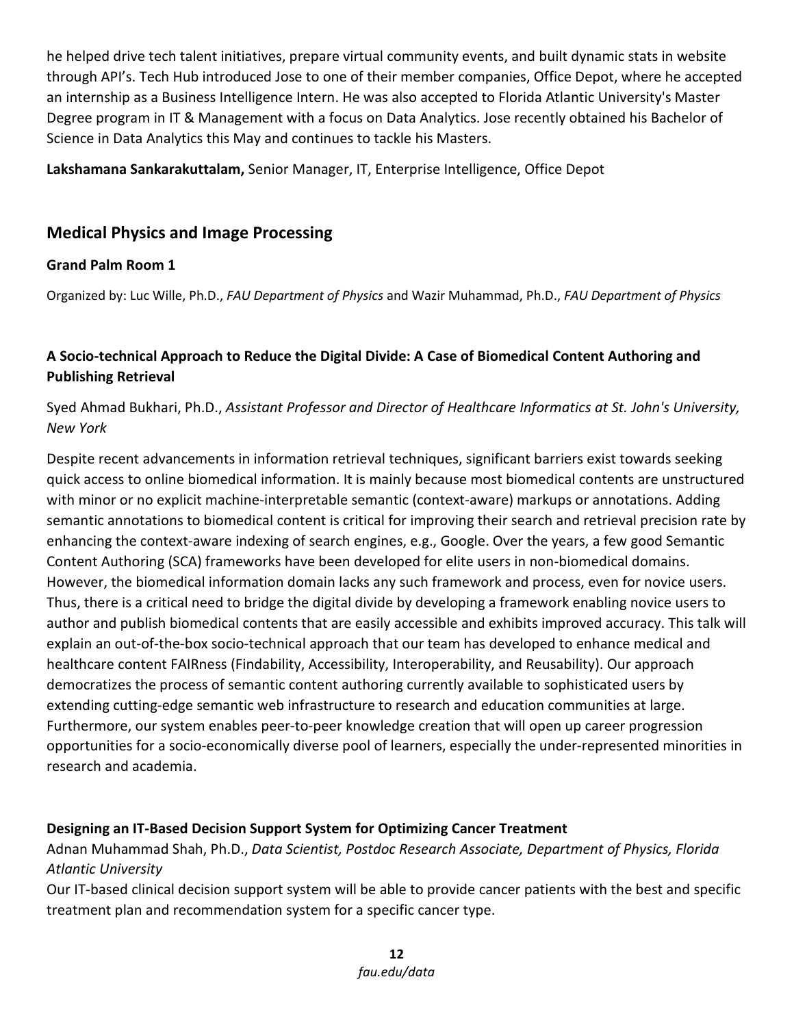he helped drive tech talent initiatives, prepare virtual community events, and built dynamic stats in website through API's. Tech Hub introduced Jose to one of their member companies, Office Depot, where he accepted an internship as a Business Intelligence Intern. He was also accepted to Florida Atlantic University's Master Degree program in IT & Management with a focus on Data Analytics. Jose recently obtained his Bachelor of Science in Data Analytics this May and continues to tackle his Masters.

**Lakshamana Sankarakuttalam,** Senior Manager, IT, Enterprise Intelligence, Office Depot

#### **Medical Physics and Image Processing**

#### **Grand Palm Room 1**

Organized by: Luc Wille, Ph.D., *FAU Department of Physics* and Wazir Muhammad, Ph.D., *FAU Department of Physics*

#### **A Socio-technical Approach to Reduce the Digital Divide: A Case of Biomedical Content Authoring and Publishing Retrieval**

#### Syed Ahmad Bukhari, Ph.D., *Assistant Professor and Director of Healthcare Informatics at St. John's University, New York*

Despite recent advancements in information retrieval techniques, significant barriers exist towards seeking quick access to online biomedical information. It is mainly because most biomedical contents are unstructured with minor or no explicit machine-interpretable semantic (context-aware) markups or annotations. Adding semantic annotations to biomedical content is critical for improving their search and retrieval precision rate by enhancing the context-aware indexing of search engines, e.g., Google. Over the years, a few good Semantic Content Authoring (SCA) frameworks have been developed for elite users in non-biomedical domains. However, the biomedical information domain lacks any such framework and process, even for novice users. Thus, there is a critical need to bridge the digital divide by developing a framework enabling novice users to author and publish biomedical contents that are easily accessible and exhibits improved accuracy. This talk will explain an out-of-the-box socio-technical approach that our team has developed to enhance medical and healthcare content FAIRness (Findability, Accessibility, Interoperability, and Reusability). Our approach democratizes the process of semantic content authoring currently available to sophisticated users by extending cutting-edge semantic web infrastructure to research and education communities at large. Furthermore, our system enables peer-to-peer knowledge creation that will open up career progression opportunities for a socio-economically diverse pool of learners, especially the under-represented minorities in research and academia.

#### **Designing an IT-Based Decision Support System for Optimizing Cancer Treatment**

Adnan Muhammad Shah, Ph.D., *Data Scientist, Postdoc Research Associate, Department of Physics, Florida Atlantic University*

Our IT-based clinical decision support system will be able to provide cancer patients with the best and specific treatment plan and recommendation system for a specific cancer type.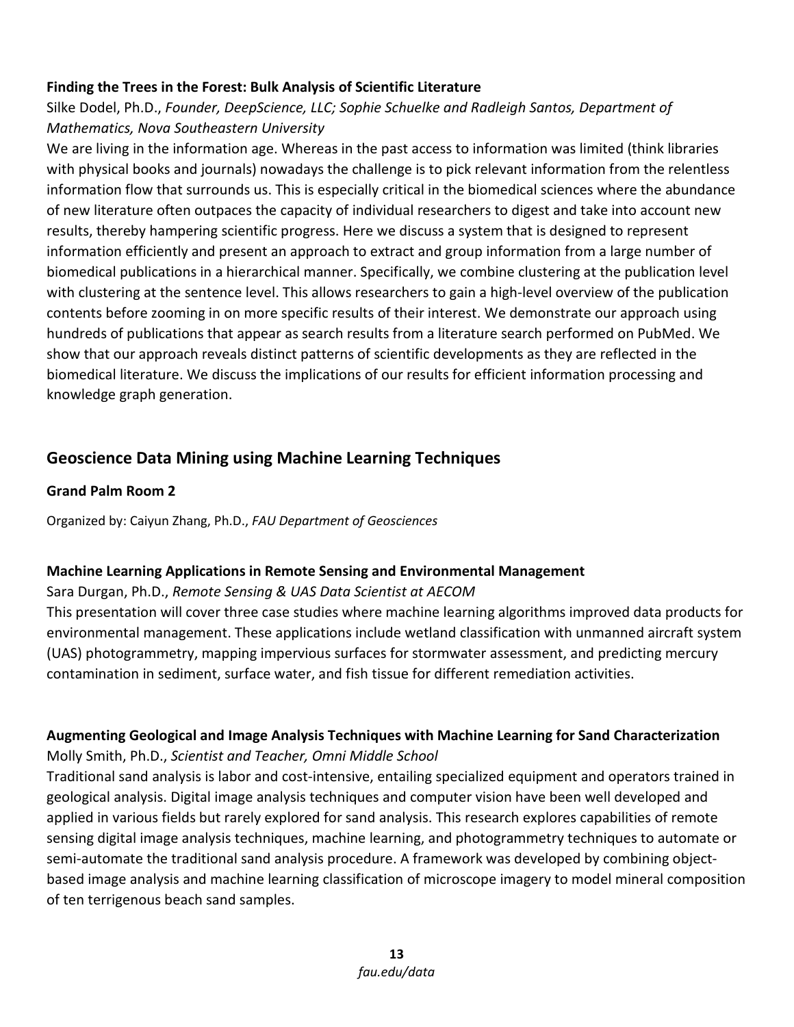#### **Finding the Trees in the Forest: Bulk Analysis of Scientific Literature**

#### Silke Dodel, Ph.D., *Founder, DeepScience, LLC; Sophie Schuelke and Radleigh Santos, Department of Mathematics, Nova Southeastern University*

We are living in the information age. Whereas in the past access to information was limited (think libraries with physical books and journals) nowadays the challenge is to pick relevant information from the relentless information flow that surrounds us. This is especially critical in the biomedical sciences where the abundance of new literature often outpaces the capacity of individual researchers to digest and take into account new results, thereby hampering scientific progress. Here we discuss a system that is designed to represent information efficiently and present an approach to extract and group information from a large number of biomedical publications in a hierarchical manner. Specifically, we combine clustering at the publication level with clustering at the sentence level. This allows researchers to gain a high-level overview of the publication contents before zooming in on more specific results of their interest. We demonstrate our approach using hundreds of publications that appear as search results from a literature search performed on PubMed. We show that our approach reveals distinct patterns of scientific developments as they are reflected in the biomedical literature. We discuss the implications of our results for efficient information processing and knowledge graph generation.

#### **Geoscience Data Mining using Machine Learning Techniques**

#### **Grand Palm Room 2**

Organized by: Caiyun Zhang, Ph.D., *FAU Department of Geosciences*

#### **Machine Learning Applications in Remote Sensing and Environmental Management**

#### Sara Durgan, Ph.D., *Remote Sensing & UAS Data Scientist at AECOM*

This presentation will cover three case studies where machine learning algorithms improved data products for environmental management. These applications include wetland classification with unmanned aircraft system (UAS) photogrammetry, mapping impervious surfaces for stormwater assessment, and predicting mercury contamination in sediment, surface water, and fish tissue for different remediation activities.

#### **Augmenting Geological and Image Analysis Techniques with Machine Learning for Sand Characterization** Molly Smith, Ph.D., *Scientist and Teacher, Omni Middle School*

Traditional sand analysis is labor and cost-intensive, entailing specialized equipment and operators trained in geological analysis. Digital image analysis techniques and computer vision have been well developed and applied in various fields but rarely explored for sand analysis. This research explores capabilities of remote sensing digital image analysis techniques, machine learning, and photogrammetry techniques to automate or semi-automate the traditional sand analysis procedure. A framework was developed by combining objectbased image analysis and machine learning classification of microscope imagery to model mineral composition of ten terrigenous beach sand samples.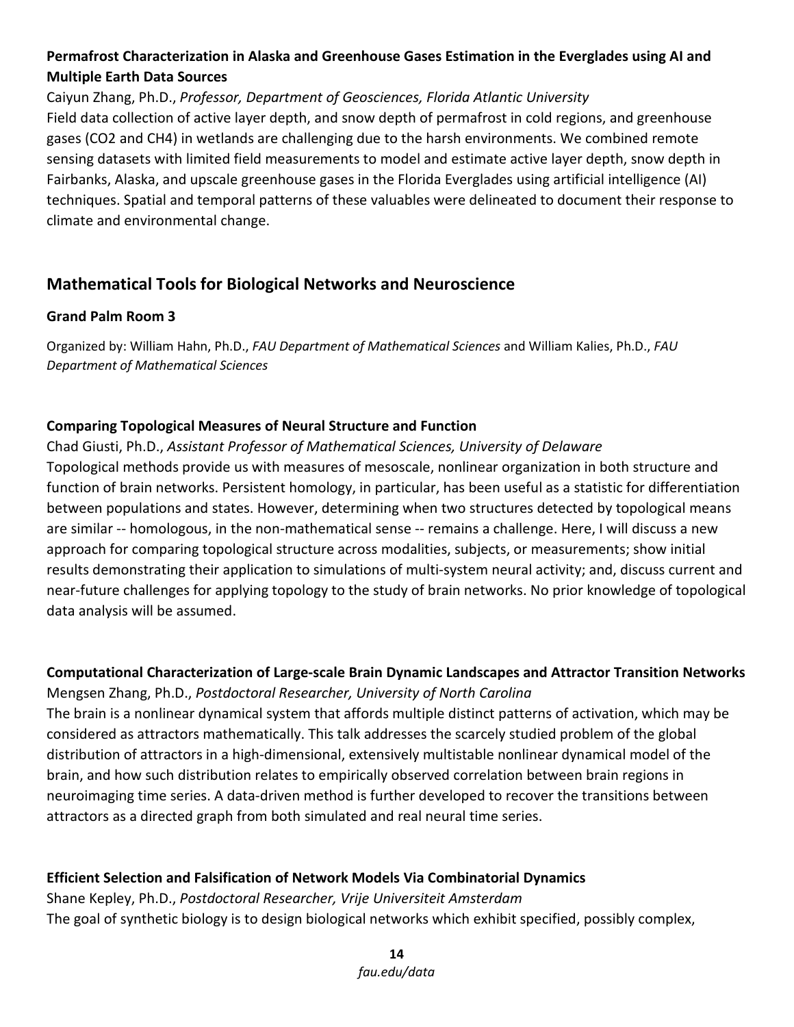#### **Permafrost Characterization in Alaska and Greenhouse Gases Estimation in the Everglades using AI and Multiple Earth Data Sources**

Caiyun Zhang, Ph.D., *Professor, Department of Geosciences, Florida Atlantic University* Field data collection of active layer depth, and snow depth of permafrost in cold regions, and greenhouse gases (CO2 and CH4) in wetlands are challenging due to the harsh environments. We combined remote sensing datasets with limited field measurements to model and estimate active layer depth, snow depth in Fairbanks, Alaska, and upscale greenhouse gases in the Florida Everglades using artificial intelligence (AI) techniques. Spatial and temporal patterns of these valuables were delineated to document their response to climate and environmental change.

#### **Mathematical Tools for Biological Networks and Neuroscience**

#### **Grand Palm Room 3**

Organized by: William Hahn, Ph.D., *FAU Department of Mathematical Sciences* and William Kalies, Ph.D., *FAU Department of Mathematical Sciences*

#### **Comparing Topological Measures of Neural Structure and Function**

Chad Giusti, Ph.D., *Assistant Professor of Mathematical Sciences, University of Delaware* Topological methods provide us with measures of mesoscale, nonlinear organization in both structure and function of brain networks. Persistent homology, in particular, has been useful as a statistic for differentiation between populations and states. However, determining when two structures detected by topological means are similar -- homologous, in the non-mathematical sense -- remains a challenge. Here, I will discuss a new approach for comparing topological structure across modalities, subjects, or measurements; show initial results demonstrating their application to simulations of multi-system neural activity; and, discuss current and near-future challenges for applying topology to the study of brain networks. No prior knowledge of topological data analysis will be assumed.

#### **Computational Characterization of Large-scale Brain Dynamic Landscapes and Attractor Transition Networks** Mengsen Zhang, Ph.D., *Postdoctoral Researcher, University of North Carolina*

The brain is a nonlinear dynamical system that affords multiple distinct patterns of activation, which may be considered as attractors mathematically. This talk addresses the scarcely studied problem of the global distribution of attractors in a high-dimensional, extensively multistable nonlinear dynamical model of the brain, and how such distribution relates to empirically observed correlation between brain regions in neuroimaging time series. A data-driven method is further developed to recover the transitions between attractors as a directed graph from both simulated and real neural time series.

#### **Efficient Selection and Falsification of Network Models Via Combinatorial Dynamics**

Shane Kepley, Ph.D., *Postdoctoral Researcher, Vrije Universiteit Amsterdam* The goal of synthetic biology is to design biological networks which exhibit specified, possibly complex,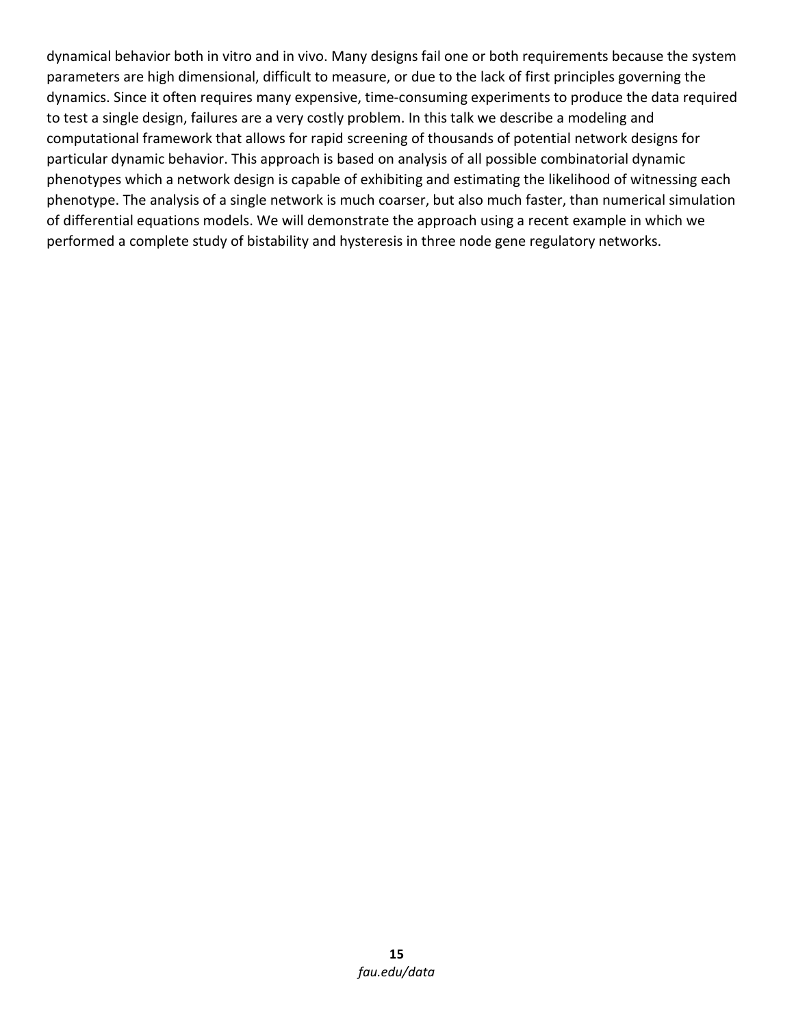dynamical behavior both in vitro and in vivo. Many designs fail one or both requirements because the system parameters are high dimensional, difficult to measure, or due to the lack of first principles governing the dynamics. Since it often requires many expensive, time-consuming experiments to produce the data required to test a single design, failures are a very costly problem. In this talk we describe a modeling and computational framework that allows for rapid screening of thousands of potential network designs for particular dynamic behavior. This approach is based on analysis of all possible combinatorial dynamic phenotypes which a network design is capable of exhibiting and estimating the likelihood of witnessing each phenotype. The analysis of a single network is much coarser, but also much faster, than numerical simulation of differential equations models. We will demonstrate the approach using a recent example in which we performed a complete study of bistability and hysteresis in three node gene regulatory networks.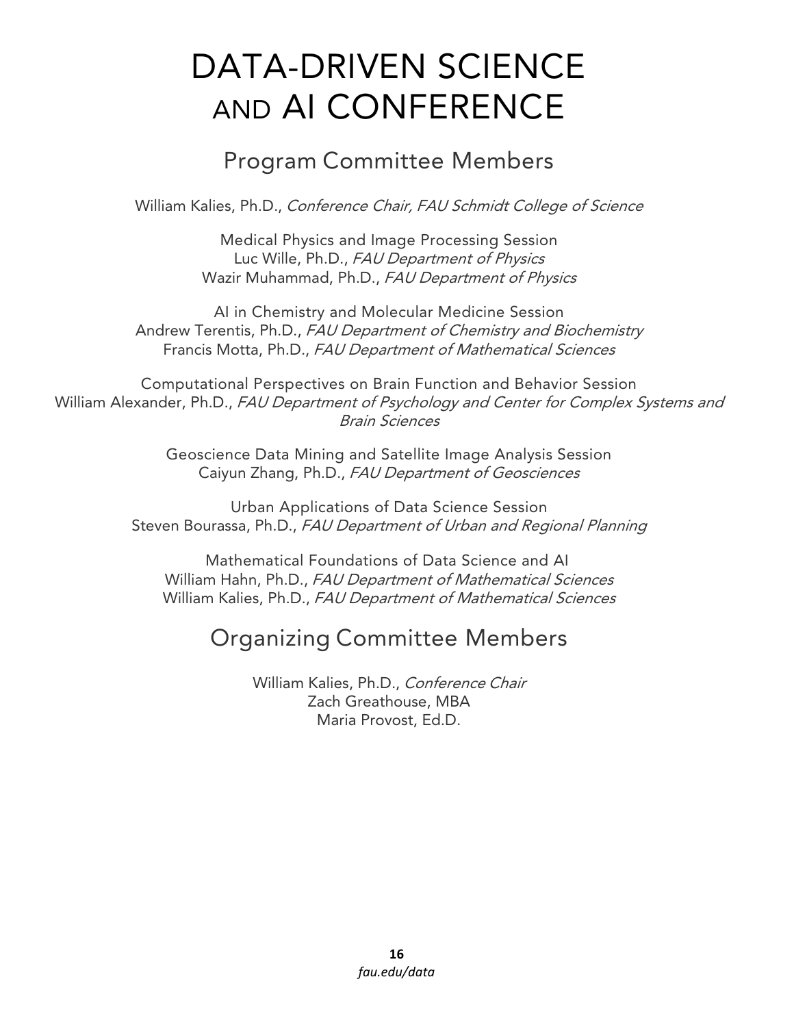# DATA-DRIVEN SCIENCE AND AI CONFERENCE

# Program Committee Members

William Kalies, Ph.D., Conference Chair, FAU Schmidt College of Science

Medical Physics and Image Processing Session Luc Wille, Ph.D., FAU Department of Physics Wazir Muhammad, Ph.D., FAU Department of Physics

AI in Chemistry and Molecular Medicine Session Andrew Terentis, Ph.D., FAU Department of Chemistry and Biochemistry Francis Motta, Ph.D., FAU Department of Mathematical Sciences

Computational Perspectives on Brain Function and Behavior Session William Alexander, Ph.D., FAU Department of Psychology and Center for Complex Systems and Brain Sciences

> Geoscience Data Mining and Satellite Image Analysis Session Caiyun Zhang, Ph.D., FAU Department of Geosciences

Urban Applications of Data Science Session Steven Bourassa, Ph.D., FAU Department of Urban and Regional Planning

Mathematical Foundations of Data Science and AI William Hahn, Ph.D., FAU Department of Mathematical Sciences William Kalies, Ph.D., FAU Department of Mathematical Sciences

# Organizing Committee Members

William Kalies, Ph.D., Conference Chair Zach Greathouse, MBA Maria Provost, Ed.D.